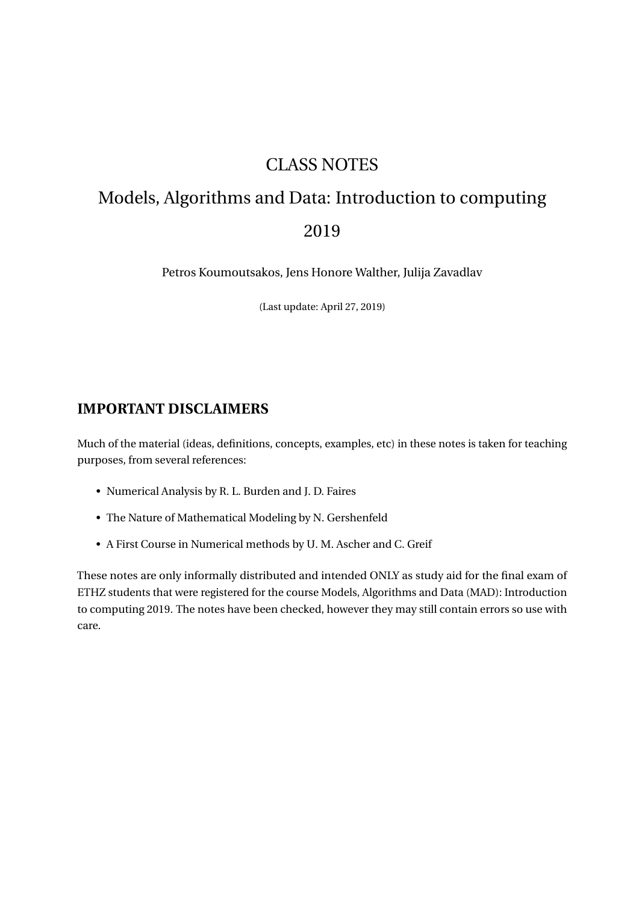# CLASS NOTES

# Models, Algorithms and Data: Introduction to computing 2019

Petros Koumoutsakos, Jens Honore Walther, Julija Zavadlav

(Last update: April 27, 2019)

# **IMPORTANT DISCLAIMERS**

Much of the material (ideas, definitions, concepts, examples, etc) in these notes is taken for teaching purposes, from several references:

- Numerical Analysis by R. L. Burden and J. D. Faires
- The Nature of Mathematical Modeling by N. Gershenfeld
- A First Course in Numerical methods by U. M. Ascher and C. Greif

These notes are only informally distributed and intended ONLY as study aid for the final exam of ETHZ students that were registered for the course Models, Algorithms and Data (MAD): Introduction to computing 2019. The notes have been checked, however they may still contain errors so use with care.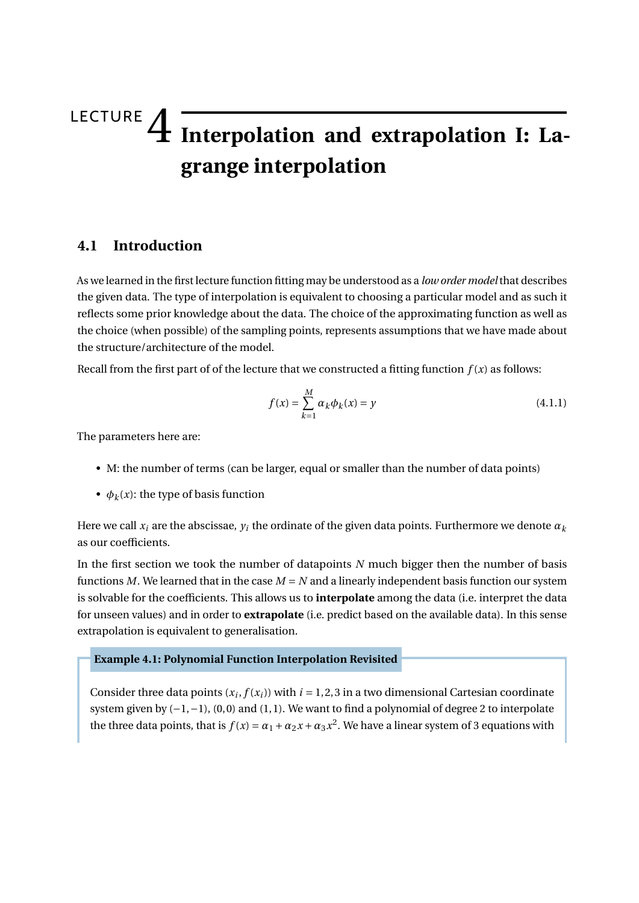# LECTURE 4 **Interpolation and extrapolation I: Lagrange interpolation**

## **4.1 Introduction**

As we learned in the first lecture function fitting may be understood as a *low order model* that describes the given data. The type of interpolation is equivalent to choosing a particular model and as such it reflects some prior knowledge about the data. The choice of the approximating function as well as the choice (when possible) of the sampling points, represents assumptions that we have made about the structure/architecture of the model.

Recall from the first part of of the lecture that we constructed a fitting function  $f(x)$  as follows:

<span id="page-1-0"></span>
$$
f(x) = \sum_{k=1}^{M} \alpha_k \phi_k(x) = y
$$
\n(4.1.1)

The parameters here are:

- M: the number of terms (can be larger, equal or smaller than the number of data points)
- $\phi_k(x)$ : the type of basis function

Here we call  $x_i$  are the abscissae,  $y_i$  the ordinate of the given data points. Furthermore we denote  $\alpha_k$ as our coefficients.

In the first section we took the number of datapoints *N* much bigger then the number of basis functions *M*. We learned that in the case  $M = N$  and a linearly independent basis function our system is solvable for the coefficients. This allows us to **interpolate** among the data (i.e. interpret the data for unseen values) and in order to **extrapolate** (i.e. predict based on the available data). In this sense extrapolation is equivalent to generalisation.

#### **Example 4.1: Polynomial Function Interpolation Revisited**

Consider three data points  $(x_i, f(x_i))$  with  $i = 1, 2, 3$  in a two dimensional Cartesian coordinate system given by  $(-1, -1)$ ,  $(0, 0)$  and  $(1, 1)$ . We want to find a polynomial of degree 2 to interpolate the three data points, that is  $f(x) = \alpha_1 + \alpha_2 x + \alpha_3 x^2$ . We have a linear system of 3 equations with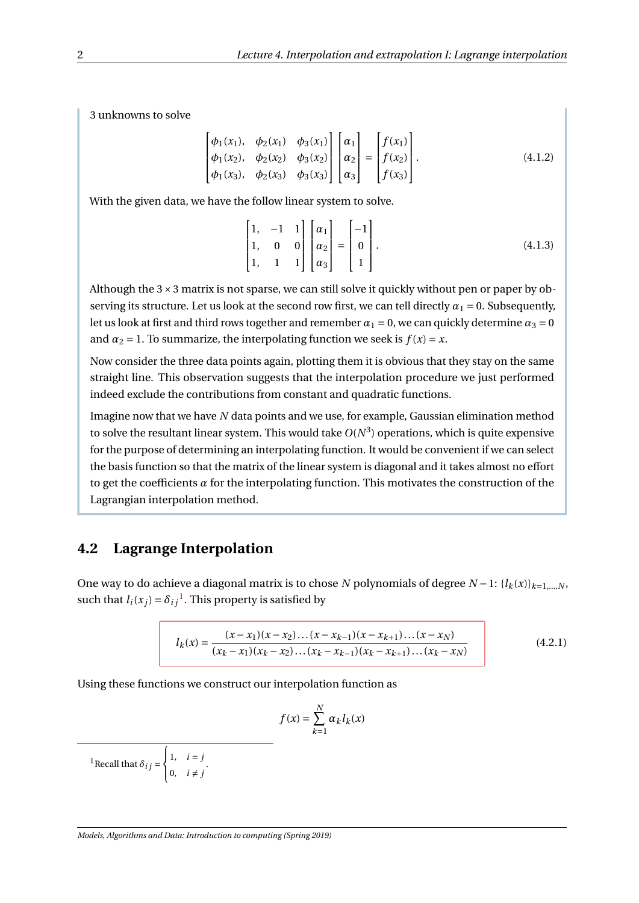3 unknowns to solve

$$
\begin{bmatrix}\n\phi_1(x_1), & \phi_2(x_1) & \phi_3(x_1) \\
\phi_1(x_2), & \phi_2(x_2) & \phi_3(x_2) \\
\phi_1(x_3), & \phi_2(x_3) & \phi_3(x_3)\n\end{bmatrix}\n\begin{bmatrix}\n\alpha_1 \\
\alpha_2 \\
\alpha_3\n\end{bmatrix} =\n\begin{bmatrix}\nf(x_1) \\
f(x_2) \\
f(x_3)\n\end{bmatrix}.
$$
\n(4.1.2)

With the given data, we have the follow linear system to solve.

$$
\begin{bmatrix} 1, & -1 & 1 \\ 1, & 0 & 0 \\ 1, & 1 & 1 \end{bmatrix} \begin{bmatrix} \alpha_1 \\ \alpha_2 \\ \alpha_3 \end{bmatrix} = \begin{bmatrix} -1 \\ 0 \\ 1 \end{bmatrix}.
$$
 (4.1.3)

Although the  $3 \times 3$  matrix is not sparse, we can still solve it quickly without pen or paper by observing its structure. Let us look at the second row first, we can tell directly  $\alpha_1 = 0$ . Subsequently, let us look at first and third rows together and remember  $\alpha_1 = 0$ , we can quickly determine  $\alpha_3 = 0$ and  $\alpha_2 = 1$ . To summarize, the interpolating function we seek is  $f(x) = x$ .

Now consider the three data points again, plotting them it is obvious that they stay on the same straight line. This observation suggests that the interpolation procedure we just performed indeed exclude the contributions from constant and quadratic functions.

Imagine now that we have *N* data points and we use, for example, Gaussian elimination method to solve the resultant linear system. This would take  $O(N^3)$  operations, which is quite expensive for the purpose of determining an interpolating function. It would be convenient if we can select the basis function so that the matrix of the linear system is diagonal and it takes almost no effort to get the coefficients *α* for the interpolating function. This motivates the construction of the Lagrangian interpolation method.

### **4.2 Lagrange Interpolation**

One way to do achieve a diagonal matrix is to chose *N* polynomials of degree *N* − 1:  $\{l_k(x)\}_{k=1,\dots,N}$ , such that  $l_i(x_j) = \delta_{ij}$ <sup>[1](#page-2-0)</sup>. This property is satisfied by

<span id="page-2-1"></span>
$$
l_k(x) = \frac{(x - x_1)(x - x_2)\dots(x - x_{k-1})(x - x_{k+1})\dots(x - x_N)}{(x_k - x_1)(x_k - x_2)\dots(x_k - x_{k-1})(x_k - x_{k+1})\dots(x_k - x_N)}
$$
(4.2.1)

Using these functions we construct our interpolation function as

$$
f(x) = \sum_{k=1}^{N} \alpha_k l_k(x)
$$

<span id="page-2-0"></span><sup>1</sup>Recall that  $\delta_{ij}$  =  $\int$  $\mathfrak{t}$ 1,  $i = j$  $\begin{array}{cc} 0, & i \neq j \end{array}$ .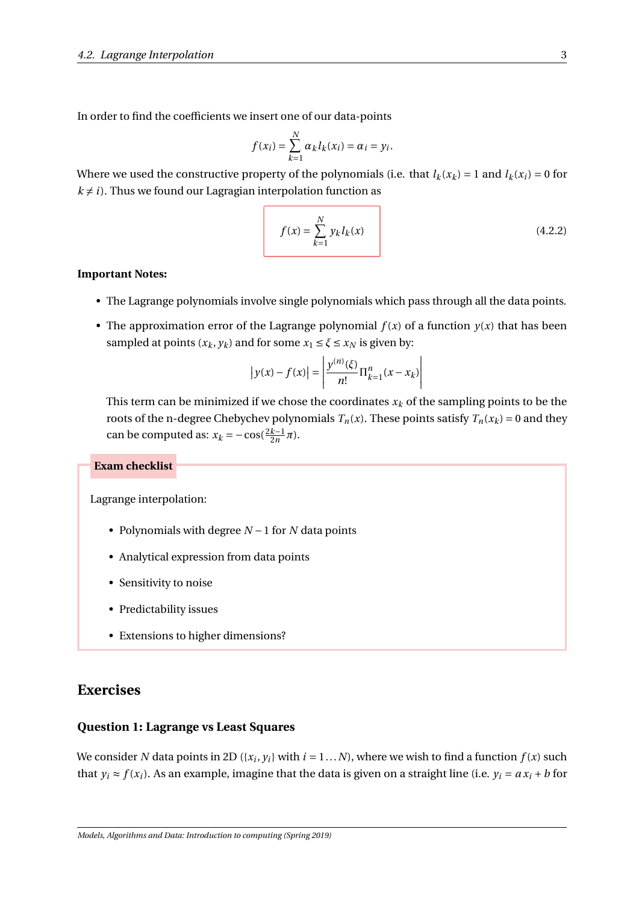In order to find the coefficients we insert one of our data-points

$$
f(x_i) = \sum_{k=1}^{N} \alpha_k l_k(x_i) = \alpha_i = y_i.
$$

Where we used the constructive property of the polynomials (i.e. that  $l_k(x_k) = 1$  and  $l_k(x_i) = 0$  for  $k \neq i$ ). Thus we found our Lagragian interpolation function as

<span id="page-3-0"></span>
$$
f(x) = \sum_{k=1}^{N} y_k l_k(x)
$$
 (4.2.2)

#### **Important Notes:**

- The Lagrange polynomials involve single polynomials which pass through all the data points.
- The approximation error of the Lagrange polynomial  $f(x)$  of a function  $y(x)$  that has been sampled at points  $(x_k, y_k)$  and for some  $x_1 \le \xi \le x_N$  is given by:

$$
|y(x) - f(x)| = \left| \frac{y^{(n)}(\xi)}{n!} \Pi_{k=1}^n (x - x_k) \right|
$$

This term can be minimized if we chose the coordinates  $x_k$  of the sampling points to be the roots of the n-degree Chebychev polynomials  $T_n(x)$ . These points satisfy  $T_n(x_k) = 0$  and they can be computed as:  $x_k = -\cos(\frac{2k-1}{2n}\pi)$ .

#### **Exam checklist**

Lagrange interpolation:

- Polynomials with degree *N* −1 for *N* data points
- Analytical expression from data points
- Sensitivity to noise
- Predictability issues
- Extensions to higher dimensions?

#### **Exercises**

#### **Question 1: Lagrange vs Least Squares**

We consider *N* data points in 2D ({ $x_i, y_i$ } with  $i = 1...N$ ), where we wish to find a function  $f(x)$  such that  $y_i \approx f(x_i)$ . As an example, imagine that the data is given on a straight line (i.e.  $y_i = ax_i + b$  for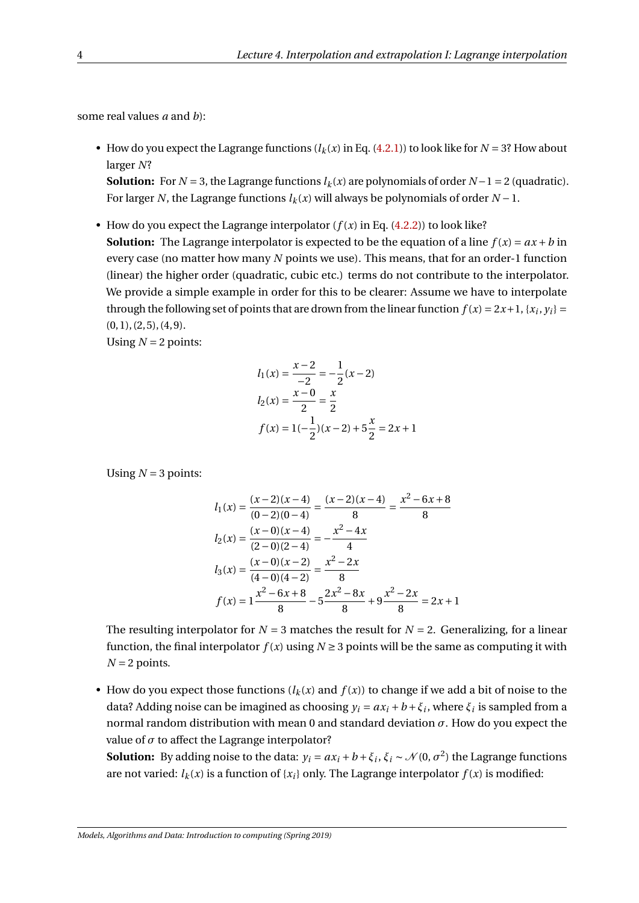some real values *a* and *b*):

• How do you expect the Lagrange functions  $(l_k(x)$  in Eq. [\(4.2.1\)](#page-2-1)) to look like for  $N = 3$ ? How about larger *N*?

**Solution:** For  $N = 3$ , the Lagrange functions  $l_k(x)$  are polynomials of order  $N - 1 = 2$  (quadratic). For larger *N*, the Lagrange functions  $l_k(x)$  will always be polynomials of order  $N-1$ .

• How do you expect the Lagrange interpolator  $(f(x))$  in Eq.  $(4.2.2))$  $(4.2.2))$  to look like? **Solution:** The Lagrange interpolator is expected to be the equation of a line  $f(x) = ax + b$  in every case (no matter how many *N* points we use). This means, that for an order-1 function (linear) the higher order (quadratic, cubic etc.) terms do not contribute to the interpolator. We provide a simple example in order for this to be clearer: Assume we have to interpolate through the following set of points that are drown from the linear function  $f(x) = 2x + 1$ ,  $\{x_i, y_i\} =$  $(0, 1), (2, 5), (4, 9).$ 

Using  $N = 2$  points:

$$
l_1(x) = \frac{x-2}{-2} = -\frac{1}{2}(x-2)
$$
  
\n
$$
l_2(x) = \frac{x-0}{2} = \frac{x}{2}
$$
  
\n
$$
f(x) = 1(-\frac{1}{2})(x-2) + 5\frac{x}{2} = 2x + 1
$$

Using  $N = 3$  points:

$$
l_1(x) = \frac{(x-2)(x-4)}{(0-2)(0-4)} = \frac{(x-2)(x-4)}{8} = \frac{x^2 - 6x + 8}{8}
$$
  
\n
$$
l_2(x) = \frac{(x-0)(x-4)}{(2-0)(2-4)} = \frac{x^2 - 4x}{4}
$$
  
\n
$$
l_3(x) = \frac{(x-0)(x-2)}{(4-0)(4-2)} = \frac{x^2 - 2x}{8}
$$
  
\n
$$
f(x) = 1 \frac{x^2 - 6x + 8}{8} - 5 \frac{2x^2 - 8x}{8} + 9 \frac{x^2 - 2x}{8} = 2x + 1
$$

The resulting interpolator for  $N = 3$  matches the result for  $N = 2$ . Generalizing, for a linear function, the final interpolator  $f(x)$  using  $N \ge 3$  points will be the same as computing it with  $N = 2$  points.

• How do you expect those functions  $(l_k(x)$  and  $f(x))$  to change if we add a bit of noise to the data? Adding noise can be imagined as choosing  $y_i = ax_i + b + \xi_i$ , where  $\xi_i$  is sampled from a normal random distribution with mean 0 and standard deviation *σ*. How do you expect the value of  $\sigma$  to affect the Lagrange interpolator?

**Solution:** By adding noise to the data:  $y_i = ax_i + b + \xi_i$ ,  $\xi_i \sim \mathcal{N}(0, \sigma^2)$  the Lagrange functions are not varied:  $l_k(x)$  is a function of  $\{x_i\}$  only. The Lagrange interpolator  $f(x)$  is modified: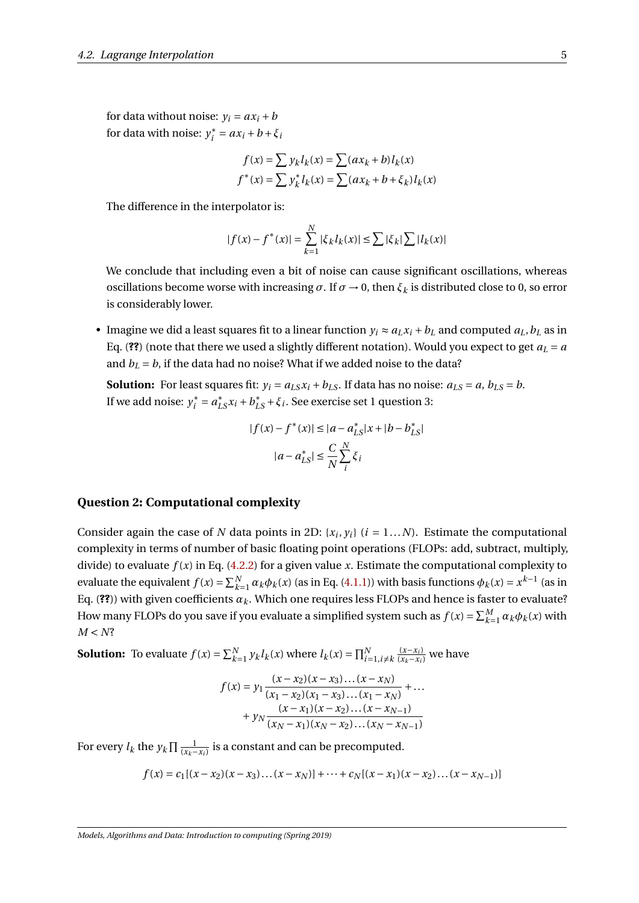for data without noise:  $v_i = ax_i + b$ for data with noise: *y* ∗  $a_i^* = ax_i + b + \xi_i$ 

$$
f(x) = \sum y_k l_k(x) = \sum (ax_k + b)l_k(x)
$$

$$
f^*(x) = \sum y_k^* l_k(x) = \sum (ax_k + b + \xi_k)l_k(x)
$$

The difference in the interpolator is:

$$
|f(x) - f^*(x)| = \sum_{k=1}^{N} |\xi_k l_k(x)| \le \sum |\xi_k| \sum |l_k(x)|
$$

We conclude that including even a bit of noise can cause significant oscillations, whereas oscillations become worse with increasing  $\sigma$ . If  $\sigma \to 0$ , then  $\xi_k$  is distributed close to 0, so error is considerably lower.

• Imagine we did a least squares fit to a linear function  $y_i \approx a_L x_i + b_L$  and computed  $a_L, b_L$  as in Eq. (??) (note that there we used a slightly different notation). Would you expect to get  $a_L = a$ and  $b_L = b$ , if the data had no noise? What if we added noise to the data?

**Solution:** For least squares fit:  $y_i = a_{LS}x_i + b_{LS}$ . If data has no noise:  $a_{LS} = a$ ,  $b_{LS} = b$ . If we add noise: *y* ∗  $\zeta_i^* = a_{LS}^* x_i + b_{LS}^* + \xi_i$ . See exercise set 1 question 3:

$$
|f(x) - f^*(x)| \le |a - a_{LS}^*| x + |b - b_{LS}^*|
$$

$$
|a - a_{LS}^*| \le \frac{C}{N} \sum_{i}^{N} \xi_i
$$

#### **Question 2: Computational complexity**

Consider again the case of *N* data points in 2D: { $x_i, y_i$ } ( $i = 1...N$ ). Estimate the computational complexity in terms of number of basic floating point operations (FLOPs: add, subtract, multiply, divide) to evaluate  $f(x)$  in Eq. [\(4.2.2\)](#page-3-0) for a given value *x*. Estimate the computational complexity to evaluate the equivalent  $f(x) = \sum_{k=1}^{N} \alpha_k \phi_k(x)$  (as in Eq. [\(4.1.1\)](#page-1-0)) with basis functions  $\phi_k(x) = x^{k-1}$  (as in Eq. (??)) with given coefficients  $\alpha_k$ . Which one requires less FLOPs and hence is faster to evaluate? How many FLOPs do you save if you evaluate a simplified system such as  $f(x) = \sum_{k=1}^{M} \alpha_k \phi_k(x)$  with  $M < N$ ?

**Solution:** To evaluate  $f(x) = \sum_{k=1}^{N} y_k l_k(x)$  where  $l_k(x) = \prod_{i=1, i \neq k}^{N}$  $\frac{(x-x_i)}{(x_k-x_i)}$  we have

$$
f(x) = y_1 \frac{(x - x_2)(x - x_3) \dots (x - x_N)}{(x_1 - x_2)(x_1 - x_3) \dots (x_1 - x_N)} + \dots + y_N \frac{(x - x_1)(x - x_2) \dots (x - x_{N-1})}{(x_N - x_1)(x_N - x_2) \dots (x_N - x_{N-1})}
$$

For every  $l_k$  the  $y_k \prod \frac{1}{(x_k - x_i)}$  is a constant and can be precomputed.

$$
f(x) = c_1[(x - x_2)(x - x_3)\dots(x - x_N)] + \dots + c_N[(x - x_1)(x - x_2)\dots(x - x_{N-1})]
$$